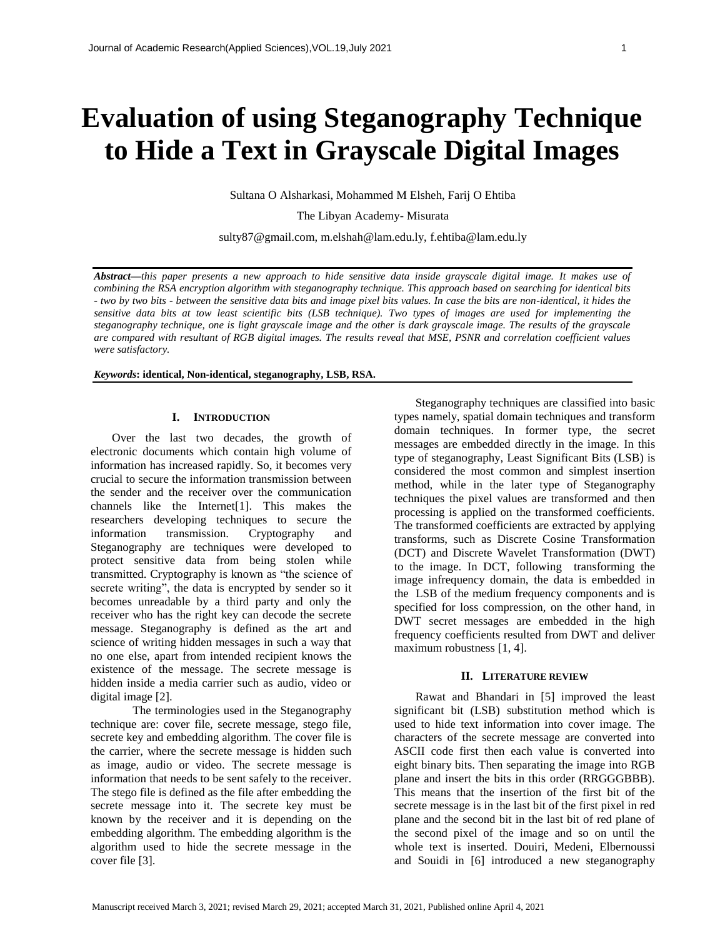# **Evaluation of using Steganography Technique to Hide a Text in Grayscale Digital Images**

Sultana O Alsharkasi, Mohammed M Elsheh, Farij O Ehtiba

The Libyan Academy- Misurata

sulty87@gmail.com, m.elshah@lam.edu.ly, f.ehtiba@lam.edu.ly

*Abstract***—***this paper presents a new approach to hide sensitive data inside grayscale digital image. It makes use of combining the RSA encryption algorithm with steganography technique. This approach based on searching for identical bits - two by two bits - between the sensitive data bits and image pixel bits values. In case the bits are non-identical, it hides the sensitive data bits at tow least scientific bits (LSB technique). Two types of images are used for implementing the steganography technique, one is light grayscale image and the other is dark grayscale image. The results of the grayscale are compared with resultant of RGB digital images. The results reveal that MSE, PSNR and correlation coefficient values were satisfactory.*

*Keywords***: identical, Non-identical, steganography, LSB, RSA.**

#### **I. INTRODUCTION**

Over the last two decades, the growth of electronic documents which contain high volume of information has increased rapidly. So, it becomes very crucial to secure the information transmission between the sender and the receiver over the communication channels like the Internet[\[1\]](#page-4-0). This makes the researchers developing techniques to secure the information transmission. Cryptography and Steganography are techniques were developed to protect sensitive data from being stolen while transmitted. Cryptography is known as "the science of secrete writing", the data is encrypted by sender so it becomes unreadable by a third party and only the receiver who has the right key can decode the secrete message. Steganography is defined as the art and science of writing hidden messages in such a way that no one else, apart from intended recipient knows the existence of the message. The secrete message is hidden inside a media carrier such as audio, video or digital image [\[2\]](#page-4-1).

 The terminologies used in the Steganography technique are: cover file, secrete message, stego file, secrete key and embedding algorithm. The cover file is the carrier, where the secrete message is hidden such as image, audio or video. The secrete message is information that needs to be sent safely to the receiver. The stego file is defined as the file after embedding the secrete message into it. The secrete key must be known by the receiver and it is depending on the embedding algorithm. The embedding algorithm is the algorithm used to hide the secrete message in the cover file [\[3\]](#page-4-2).

Steganography techniques are classified into basic types namely, spatial domain techniques and transform domain techniques. In former type, the secret messages are embedded directly in the image. In this type of steganography, Least Significant Bits (LSB) is considered the most common and simplest insertion method, while in the later type of Steganography techniques the pixel values are transformed and then processing is applied on the transformed coefficients. The transformed coefficients are extracted by applying transforms, such as Discrete Cosine Transformation (DCT) and Discrete Wavelet Transformation (DWT) to the image. In DCT, following transforming the image infrequency domain, the data is embedded in the LSB of the medium frequency components and is specified for loss compression, on the other hand, in DWT secret messages are embedded in the high frequency coefficients resulted from DWT and deliver maximum robustness [\[1,](#page-4-0) [4\]](#page-4-3).

## **II. LITERATURE REVIEW**

Rawat and Bhandari in [\[5\]](#page-4-4) improved the least significant bit (LSB) substitution method which is used to hide text information into cover image. The characters of the secrete message are converted into ASCII code first then each value is converted into eight binary bits. Then separating the image into RGB plane and insert the bits in this order (RRGGGBBB). This means that the insertion of the first bit of the secrete message is in the last bit of the first pixel in red plane and the second bit in the last bit of red plane of the second pixel of the image and so on until the whole text is inserted. Douiri, Medeni, Elbernoussi and Souidi in [\[6\]](#page-4-5) introduced a new steganography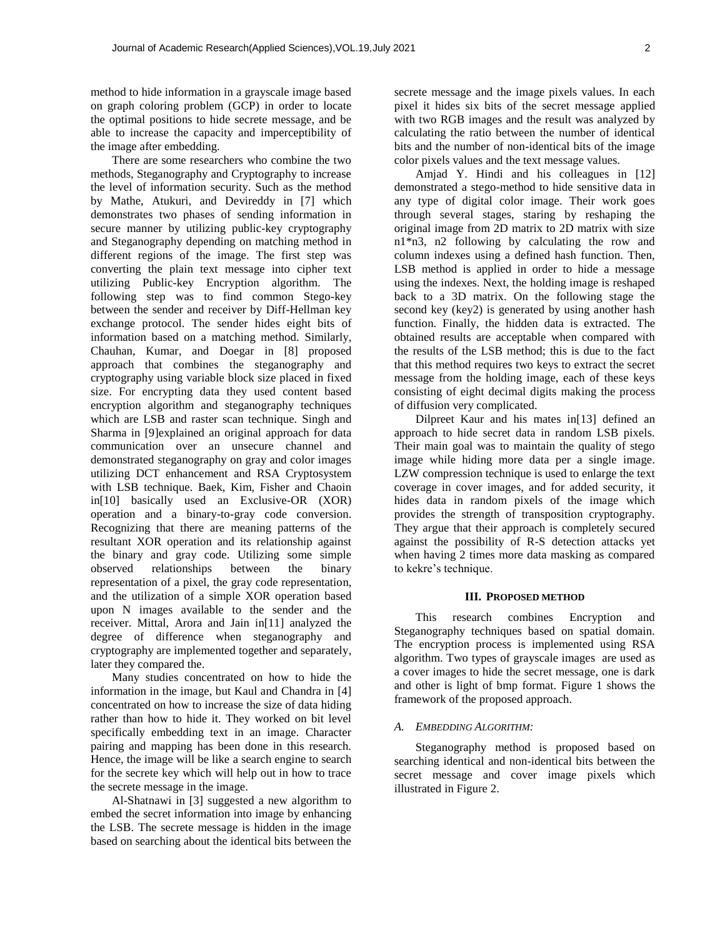method to hide information in a grayscale image based on graph coloring problem (GCP) in order to locate the optimal positions to hide secrete message, and be able to increase the capacity and imperceptibility of the image after embedding.

There are some researchers who combine the two methods, Steganography and Cryptography to increase the level of information security. Such as the method by Mathe, Atukuri, and Devireddy in [\[7\]](#page-4-6) which demonstrates two phases of sending information in secure manner by utilizing public-key cryptography and Steganography depending on matching method in different regions of the image. The first step was converting the plain text message into cipher text utilizing Public-key Encryption algorithm. The following step was to find common Stego-key between the sender and receiver by Diff-Hellman key exchange protocol. The sender hides eight bits of information based on a matching method. Similarly, Chauhan, Kumar, and Doegar in [\[8\]](#page-4-7) proposed approach that combines the steganography and cryptography using variable block size placed in fixed size. For encrypting data they used content based encryption algorithm and steganography techniques which are LSB and raster scan technique. Singh and Sharma in [\[9\]](#page-5-0)explained an original approach for data communication over an unsecure channel and demonstrated steganography on gray and color images utilizing DCT enhancement and RSA Cryptosystem with LSB technique. Baek, Kim, Fisher and Chaoin in[\[10\]](#page-5-1) basically used an Exclusive-OR (XOR) operation and a binary-to-gray code conversion. Recognizing that there are meaning patterns of the resultant XOR operation and its relationship against the binary and gray code. Utilizing some simple observed relationships between the binary representation of a pixel, the gray code representation, and the utilization of a simple XOR operation based upon N images available to the sender and the receiver. Mittal, Arora and Jain in[\[11\]](#page-5-2) analyzed the degree of difference when steganography and cryptography are implemented together and separately, later they compared the.

Many studies concentrated on how to hide the information in the image, but Kaul and Chandra in [\[4\]](#page-4-3) concentrated on how to increase the size of data hiding rather than how to hide it. They worked on bit level specifically embedding text in an image. Character pairing and mapping has been done in this research. Hence, the image will be like a search engine to search for the secrete key which will help out in how to trace the secrete message in the image.

Al-Shatnawi in [\[3\]](#page-4-2) suggested a new algorithm to embed the secret information into image by enhancing the LSB. The secrete message is hidden in the image based on searching about the identical bits between the

secrete message and the image pixels values. In each pixel it hides six bits of the secret message applied with two RGB images and the result was analyzed by calculating the ratio between the number of identical bits and the number of non-identical bits of the image color pixels values and the text message values.

Amjad Y. Hindi and his colleagues in [\[12\]](#page-5-3) demonstrated a stego-method to hide sensitive data in any type of digital color image. Their work goes through several stages, staring by reshaping the original image from 2D matrix to 2D matrix with size n1\*n3, n2 following by calculating the row and column indexes using a defined hash function. Then, LSB method is applied in order to hide a message using the indexes. Next, the holding image is reshaped back to a 3D matrix. On the following stage the second key (key2) is generated by using another hash function. Finally, the hidden data is extracted. The obtained results are acceptable when compared with the results of the LSB method; this is due to the fact that this method requires two keys to extract the secret message from the holding image, each of these keys consisting of eight decimal digits making the process of diffusion very complicated.

Dilpreet Kaur and his mates in[\[13\]](#page-5-4) defined an approach to hide secret data in random LSB pixels. Their main goal was to maintain the quality of stego image while hiding more data per a single image. LZW compression technique is used to enlarge the text coverage in cover images, and for added security, it hides data in random pixels of the image which provides the strength of transposition cryptography. They argue that their approach is completely secured against the possibility of R-S detection attacks yet when having 2 times more data masking as compared to kekre's technique.

#### **III. PROPOSED METHOD**

This research combines Encryption and Steganography techniques based on spatial domain. The encryption process is implemented using RSA algorithm. Two types of grayscale images are used as a cover images to hide the secret message, one is dark and other is light of bmp format. Figure 1 shows the framework of the proposed approach.

#### *A. EMBEDDING ALGORITHM:*

Steganography method is proposed based on searching identical and non-identical bits between the secret message and cover image pixels which illustrated in Figure 2.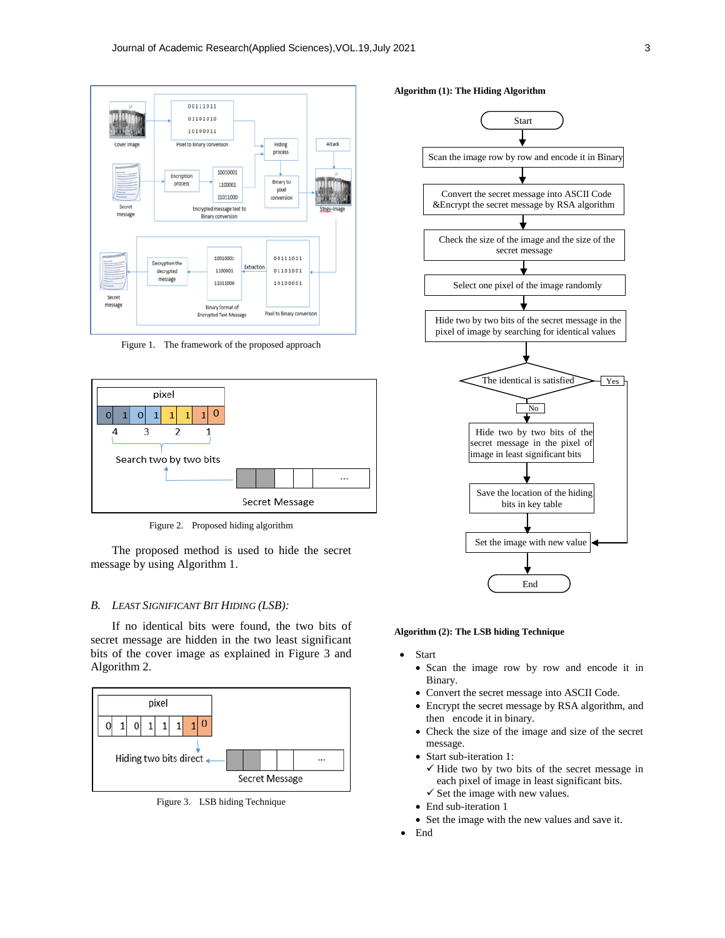

Figure 1. The framework of the proposed approach



Figure 2. Proposed hiding algorithm

The proposed method is used to hide the secret message by using Algorithm 1.

#### *B. LEAST SIGNIFICANT BIT HIDING (LSB):*

If no identical bits were found, the two bits of secret message are hidden in the two least significant bits of the cover image as explained in Figure 3 and Algorithm 2.



Figure 3. LSB hiding Technique





**Algorithm (2): The LSB hiding Technique**

- Start
	- Scan the image row by row and encode it in Binary.
	- Convert the secret message into ASCII Code.
	- Encrypt the secret message by RSA algorithm, and then encode it in binary.
	- Check the size of the image and size of the secret message.
	- Start sub-iteration 1:
		- $\checkmark$  Hide two by two bits of the secret message in each pixel of image in least significant bits.
		- $\checkmark$  Set the image with new values.
	- End sub-iteration 1
	- Set the image with the new values and save it.
- End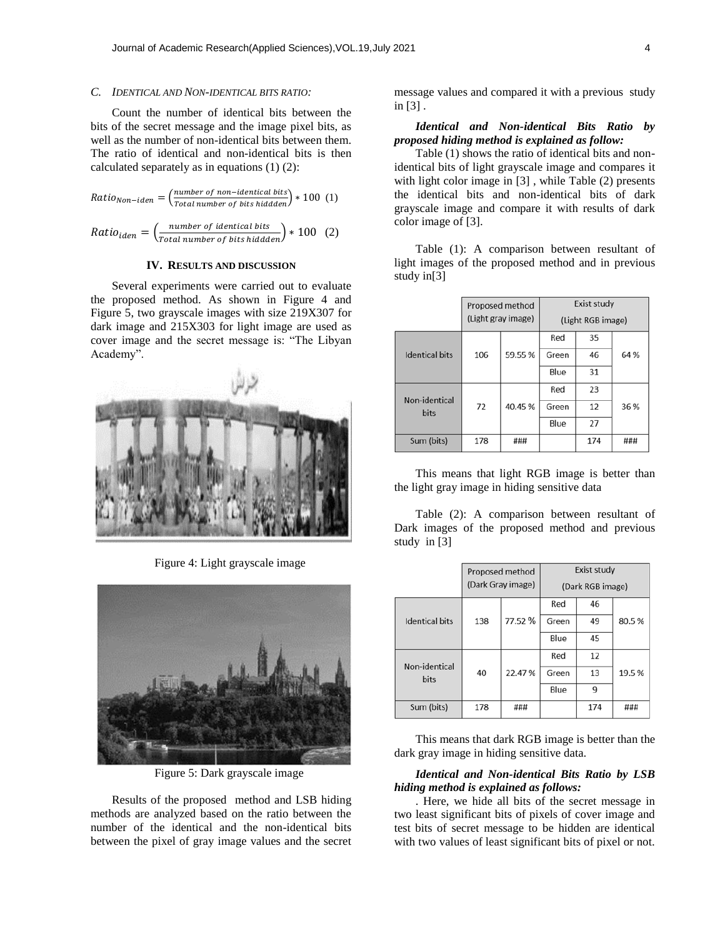# *C. IDENTICAL AND NON-IDENTICAL BITS RATIO:*

Count the number of identical bits between the bits of the secret message and the image pixel bits, as well as the number of non-identical bits between them. The ratio of identical and non-identical bits is then calculated separately as in equations (1) (2):

$$
Ratio_{Non-iden} = \left(\frac{number\ of\ non-identical\ bits}{Total\ number\ of\ bits\ hidden}\right) * 100\ (1)
$$

$$
Ratio_{iden} = \left(\frac{number\ of\ identical\ bits}{Total\ number\ of\ bits\ hidden}\right) * 100\tag{2}
$$

#### **IV. RESULTS AND DISCUSSION**

Several experiments were carried out to evaluate the proposed method. As shown in Figure 4 and Figure 5, two grayscale images with size 219X307 for dark image and 215X303 for light image are used as cover image and the secret message is: "The Libyan Academy".



Figure 4: Light grayscale image



Figure 5: Dark grayscale image

Results of the proposed method and LSB hiding methods are analyzed based on the ratio between the number of the identical and the non-identical bits between the pixel of gray image values and the secret message values and compared it with a previous study in [\[3\]](#page-4-2) .

## *Identical and Non-identical Bits Ratio by proposed hiding method is explained as follow:*

Table (1) shows the ratio of identical bits and nonidentical bits of light grayscale image and compares it with light color image in [\[3\]](#page-4-2) , while Table (2) presents the identical bits and non-identical bits of dark grayscale image and compare it with results of dark color image of [\[3\]](#page-4-2).

Table (1): A comparison between resultant of light images of the proposed method and in previous study in[\[3\]](#page-4-2)

|                       | Proposed method<br>(Light gray image) |        | Exist study       |     |      |
|-----------------------|---------------------------------------|--------|-------------------|-----|------|
|                       |                                       |        | (Light RGB image) |     |      |
|                       |                                       |        | Red               | 35  |      |
| <b>Identical bits</b> | 106                                   | 59.55% | Green             | 46  | 64 % |
|                       |                                       |        | Blue              | 31  |      |
| Non-identical         |                                       |        | Red               | 23  |      |
| <b>bits</b>           | 72                                    | 40.45% | Green             | 12  | 36 % |
|                       |                                       |        | Blue              | 27  |      |
| Sum (bits)            | 178                                   | ###    |                   | 174 | ###  |

This means that light RGB image is better than the light gray image in hiding sensitive data

Table (2): A comparison between resultant of Dark images of the proposed method and previous study in [\[3\]](#page-4-2)

|                              | Proposed method<br>(Dark Gray image) |         | Exist study<br>(Dark RGB image) |     |       |
|------------------------------|--------------------------------------|---------|---------------------------------|-----|-------|
|                              |                                      |         | Red                             | 46  |       |
| <b>Identical bits</b>        | 138                                  | 77.52 % | Green                           | 49  | 80.5% |
|                              |                                      |         | Blue                            | 45  |       |
|                              |                                      |         | Red                             | 12  |       |
| Non-identical<br><b>bits</b> | 40                                   | 22.47%  | Green                           | 13  | 19.5% |
|                              |                                      |         | Blue                            | 9   |       |
| Sum (bits)                   | 178                                  | ###     |                                 | 174 | ###   |

This means that dark RGB image is better than the dark gray image in hiding sensitive data.

## *Identical and Non-identical Bits Ratio by LSB hiding method is explained as follows:*

. Here, we hide all bits of the secret message in two least significant bits of pixels of cover image and test bits of secret message to be hidden are identical with two values of least significant bits of pixel or not.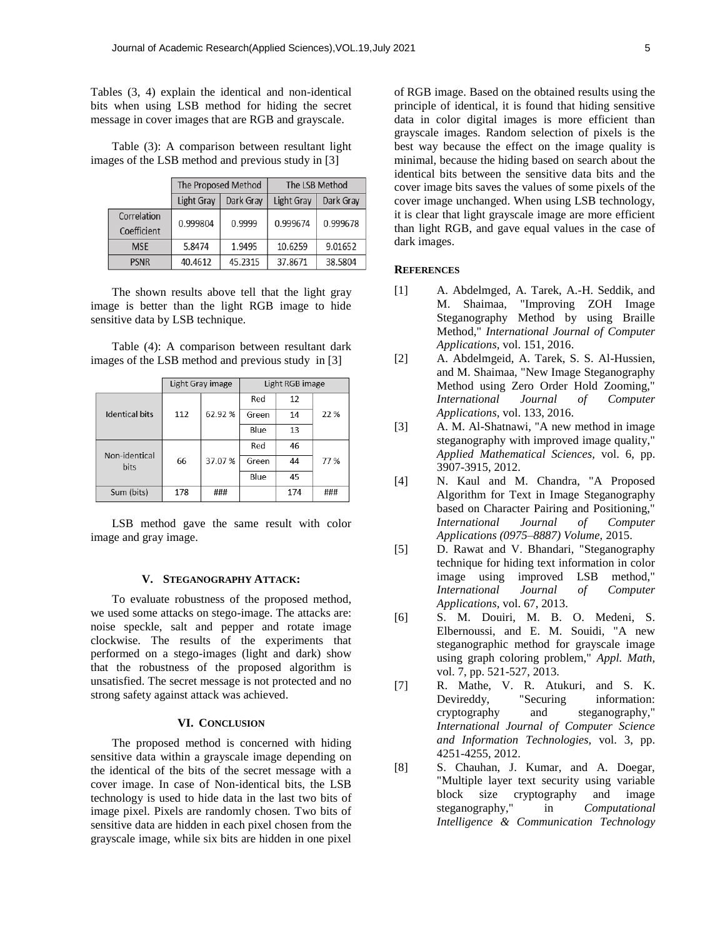Tables (3, 4) explain the identical and non-identical bits when using LSB method for hiding the secret message in cover images that are RGB and grayscale.

Table (3): A comparison between resultant light images of the LSB method and previous study in [\[3\]](#page-4-2)

|                            | The Proposed Method |           | The LSB Method |           |  |
|----------------------------|---------------------|-----------|----------------|-----------|--|
|                            | Light Gray          | Dark Grav | Light Gray     | Dark Grav |  |
| Correlation<br>Coefficient | 0.999804            | 0.9999    | 0.999674       | 0.999678  |  |
| <b>MSE</b>                 | 5.8474              | 1.9495    | 10.6259        | 9.01652   |  |
| <b>PSNR</b>                | 40.4612             | 45.2315   | 37.8671        | 38.5804   |  |

The shown results above tell that the light gray image is better than the light RGB image to hide sensitive data by LSB technique.

Table (4): A comparison between resultant dark images of the LSB method and previous study in [\[3\]](#page-4-2)

|                       | Light Gray image |        | Light RGB image |     |      |
|-----------------------|------------------|--------|-----------------|-----|------|
|                       |                  |        | Red             | 12  |      |
| <b>Identical bits</b> | 112              | 62.92% | Green           | 14  | 22 % |
|                       |                  |        | Blue            | 13  |      |
| Non-identical         |                  |        | Red             | 46  |      |
| <b>bits</b>           | 66               | 37.07% | Green           | 44  | 77%  |
|                       |                  |        | Blue            | 45  |      |
| Sum (bits)            | 178              | ###    |                 | 174 | ###  |

LSB method gave the same result with color image and gray image.

#### **V. STEGANOGRAPHY ATTACK:**

To evaluate robustness of the proposed method, we used some attacks on stego-image. The attacks are: noise speckle, salt and pepper and rotate image clockwise. The results of the experiments that performed on a stego-images (light and dark) show that the robustness of the proposed algorithm is unsatisfied. The secret message is not protected and no strong safety against attack was achieved.

## **VI. CONCLUSION**

The proposed method is concerned with hiding sensitive data within a grayscale image depending on the identical of the bits of the secret message with a cover image. In case of Non-identical bits, the LSB technology is used to hide data in the last two bits of image pixel. Pixels are randomly chosen. Two bits of sensitive data are hidden in each pixel chosen from the grayscale image, while six bits are hidden in one pixel

of RGB image. Based on the obtained results using the principle of identical, it is found that hiding sensitive data in color digital images is more efficient than grayscale images. Random selection of pixels is the best way because the effect on the image quality is minimal, because the hiding based on search about the identical bits between the sensitive data bits and the cover image bits saves the values of some pixels of the cover image unchanged. When using LSB technology, it is clear that light grayscale image are more efficient than light RGB, and gave equal values in the case of dark images.

## **REFERENCES**

- <span id="page-4-0"></span>[1] A. Abdelmged, A. Tarek, A.-H. Seddik, and M. Shaimaa, "Improving ZOH Image Steganography Method by using Braille Method," *International Journal of Computer Applications,* vol. 151, 2016.
- <span id="page-4-1"></span>[2] A. Abdelmgeid, A. Tarek, S. S. Al-Hussien, and M. Shaimaa, "New Image Steganography Method using Zero Order Hold Zooming," *International Journal of Computer Applications,* vol. 133, 2016.
- <span id="page-4-2"></span>[3] A. M. Al-Shatnawi, "A new method in image steganography with improved image quality," *Applied Mathematical Sciences,* vol. 6, pp. 3907-3915, 2012.
- <span id="page-4-3"></span>[4] N. Kaul and M. Chandra, "A Proposed Algorithm for Text in Image Steganography based on Character Pairing and Positioning," *International Journal of Computer Applications (0975–8887) Volume,* 2015.
- <span id="page-4-4"></span>[5] D. Rawat and V. Bhandari, "Steganography technique for hiding text information in color image using improved LSB method," *International Journal of Computer Applications,* vol. 67, 2013.
- <span id="page-4-5"></span>[6] S. M. Douiri, M. B. O. Medeni, S. Elbernoussi, and E. M. Souidi, "A new steganographic method for grayscale image using graph coloring problem," *Appl. Math,*  vol. 7, pp. 521-527, 2013.
- <span id="page-4-6"></span>[7] R. Mathe, V. R. Atukuri, and S. K. Devireddy, "Securing information: cryptography and steganography," *International Journal of Computer Science and Information Technologies,* vol. 3, pp. 4251-4255, 2012.
- <span id="page-4-7"></span>[8] S. Chauhan, J. Kumar, and A. Doegar, "Multiple layer text security using variable block size cryptography and image steganography," in *Computational Intelligence & Communication Technology*